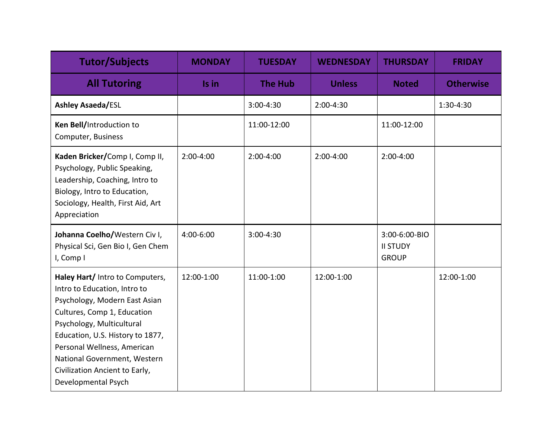| <b>Tutor/Subjects</b>                                                                                                                                                                                                                                                                                                    | <b>MONDAY</b> | <b>TUESDAY</b> | <b>WEDNESDAY</b> | <b>THURSDAY</b>                                  | <b>FRIDAY</b>    |
|--------------------------------------------------------------------------------------------------------------------------------------------------------------------------------------------------------------------------------------------------------------------------------------------------------------------------|---------------|----------------|------------------|--------------------------------------------------|------------------|
| <b>All Tutoring</b>                                                                                                                                                                                                                                                                                                      | Is in         | <b>The Hub</b> | <b>Unless</b>    | <b>Noted</b>                                     | <b>Otherwise</b> |
| <b>Ashley Asaeda/ESL</b>                                                                                                                                                                                                                                                                                                 |               | 3:00-4:30      | 2:00-4:30        |                                                  | 1:30-4:30        |
| Ken Bell/Introduction to<br>Computer, Business                                                                                                                                                                                                                                                                           |               | 11:00-12:00    |                  | 11:00-12:00                                      |                  |
| Kaden Bricker/Comp I, Comp II,<br>Psychology, Public Speaking,<br>Leadership, Coaching, Intro to<br>Biology, Intro to Education,<br>Sociology, Health, First Aid, Art<br>Appreciation                                                                                                                                    | 2:00-4:00     | 2:00-4:00      | $2:00-4:00$      | 2:00-4:00                                        |                  |
| Johanna Coelho/Western Civ I,<br>Physical Sci, Gen Bio I, Gen Chem<br>I, Comp I                                                                                                                                                                                                                                          | 4:00-6:00     | 3:00-4:30      |                  | 3:00-6:00-BIO<br><b>II STUDY</b><br><b>GROUP</b> |                  |
| Haley Hart/ Intro to Computers,<br>Intro to Education, Intro to<br>Psychology, Modern East Asian<br>Cultures, Comp 1, Education<br>Psychology, Multicultural<br>Education, U.S. History to 1877,<br>Personal Wellness, American<br>National Government, Western<br>Civilization Ancient to Early,<br>Developmental Psych | 12:00-1:00    | 11:00-1:00     | 12:00-1:00       |                                                  | 12:00-1:00       |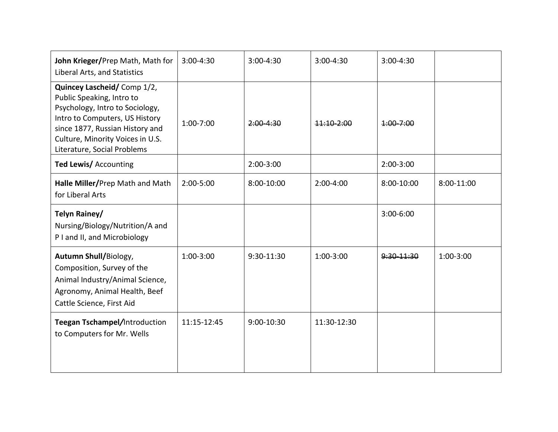| John Krieger/Prep Math, Math for<br>Liberal Arts, and Statistics                                                                                                                                                                   | $3:00 - 4:30$ | 3:00-4:30     | $3:00-4:30$ | $3:00-4:30$   |            |
|------------------------------------------------------------------------------------------------------------------------------------------------------------------------------------------------------------------------------------|---------------|---------------|-------------|---------------|------------|
| Quincey Lascheid/Comp 1/2,<br>Public Speaking, Intro to<br>Psychology, Intro to Sociology,<br>Intro to Computers, US History<br>since 1877, Russian History and<br>Culture, Minority Voices in U.S.<br>Literature, Social Problems | 1:00-7:00     | $2:00 - 4:30$ | 11:10-2:00  | $4:00 - 7:00$ |            |
| Ted Lewis/ Accounting                                                                                                                                                                                                              |               | $2:00-3:00$   |             | $2:00-3:00$   |            |
| Halle Miller/Prep Math and Math<br>for Liberal Arts                                                                                                                                                                                | 2:00-5:00     | 8:00-10:00    | $2:00-4:00$ | 8:00-10:00    | 8:00-11:00 |
| Telyn Rainey/<br>Nursing/Biology/Nutrition/A and<br>P I and II, and Microbiology                                                                                                                                                   |               |               |             | $3:00 - 6:00$ |            |
| <b>Autumn Shull/Biology,</b><br>Composition, Survey of the<br>Animal Industry/Animal Science,<br>Agronomy, Animal Health, Beef<br>Cattle Science, First Aid                                                                        | 1:00-3:00     | 9:30-11:30    | 1:00-3:00   | 9:30 11:30    | 1:00-3:00  |
| Teegan Tschampel/Introduction<br>to Computers for Mr. Wells                                                                                                                                                                        | 11:15-12:45   | 9:00-10:30    | 11:30-12:30 |               |            |